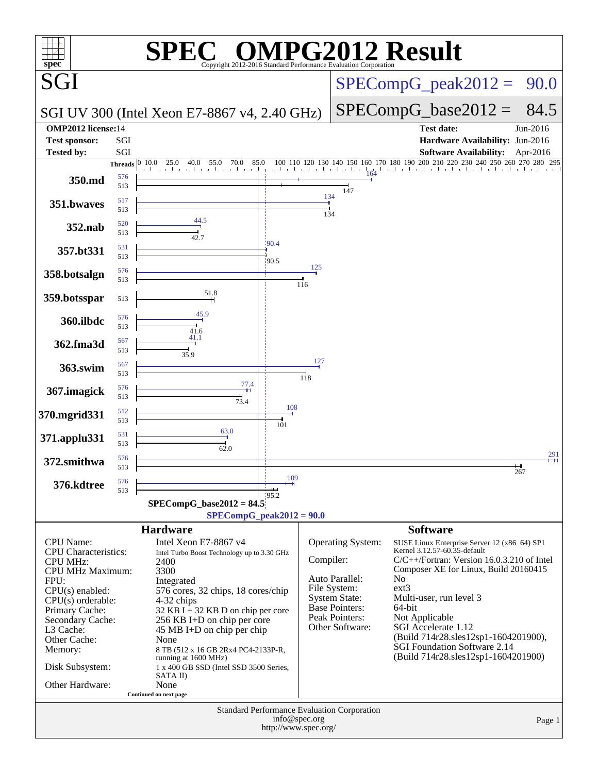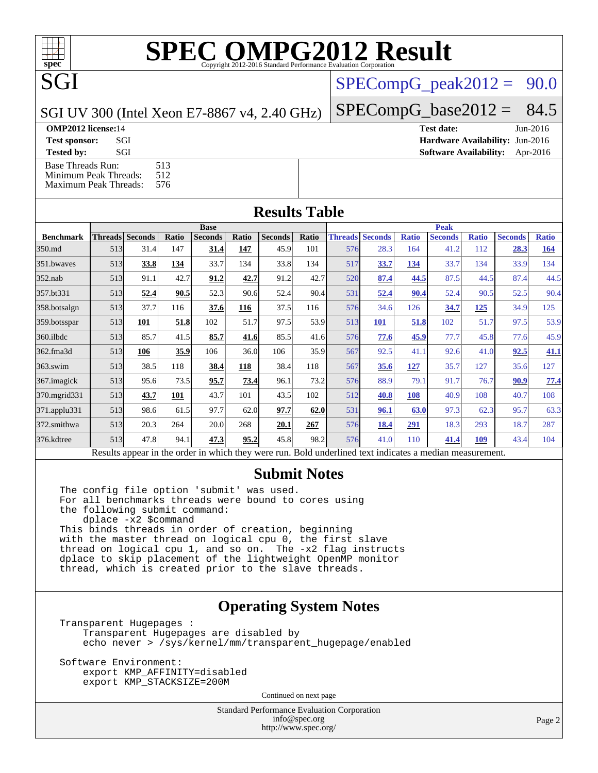$SPECompG_peak2012 = 90.0$  $SPECompG_peak2012 = 90.0$ 

SGI UV 300 (Intel Xeon E7-8867 v4, 2.40 GHz)

 $SPECompG_base2012 = 84.5$  $SPECompG_base2012 = 84.5$ 

**[OMP2012 license:](http://www.spec.org/auto/omp2012/Docs/result-fields.html#OMP2012license)**14 **[Test date:](http://www.spec.org/auto/omp2012/Docs/result-fields.html#Testdate)** Jun-2016

SGI

**[Test sponsor:](http://www.spec.org/auto/omp2012/Docs/result-fields.html#Testsponsor)** SGI **[Hardware Availability:](http://www.spec.org/auto/omp2012/Docs/result-fields.html#HardwareAvailability)** Jun-2016

**[Tested by:](http://www.spec.org/auto/omp2012/Docs/result-fields.html#Testedby)** SGI SOL SGI SOFTWARE AVAILABILITY: Apr-2016 [Base Threads Run:](http://www.spec.org/auto/omp2012/Docs/result-fields.html#BaseThreadsRun) 513<br>Minimum Peak Threads: 512 [Minimum Peak Threads:](http://www.spec.org/auto/omp2012/Docs/result-fields.html#MinimumPeakThreads)

[Maximum Peak Threads:](http://www.spec.org/auto/omp2012/Docs/result-fields.html#MaximumPeakThreads) 576

| <b>Results Table</b>                                                                                     |     |                        |       |                |       |                |       |                        |             |              |                |              |                |              |
|----------------------------------------------------------------------------------------------------------|-----|------------------------|-------|----------------|-------|----------------|-------|------------------------|-------------|--------------|----------------|--------------|----------------|--------------|
|                                                                                                          |     |                        |       | <b>Base</b>    |       |                |       |                        | <b>Peak</b> |              |                |              |                |              |
| <b>Benchmark</b>                                                                                         |     | <b>Threads Seconds</b> | Ratio | <b>Seconds</b> | Ratio | <b>Seconds</b> | Ratio | <b>Threads Seconds</b> |             | <b>Ratio</b> | <b>Seconds</b> | <b>Ratio</b> | <b>Seconds</b> | <b>Ratio</b> |
| 350.md                                                                                                   | 513 | 31.4                   | 147   | 31.4           | 147   | 45.9           | 101   | 576                    | 28.3        | 164          | 41.2           | 112          | 28.3           | <u>164</u>   |
| 351.bwaves                                                                                               | 513 | 33.8                   | 134   | 33.7           | 134   | 33.8           | 134   | 517                    | 33.7        | 134          | 33.7           | 134          | 33.9           | 134          |
| $352$ .nab                                                                                               | 513 | 91.1                   | 42.7  | 91.2           | 42.7  | 91.2           | 42.7  | 520                    | 87.4        | 44.5         | 87.5           | 44.5         | 87.4           | 44.5         |
| 357.bt331                                                                                                | 513 | 52.4                   | 90.5  | 52.3           | 90.6  | 52.4           | 90.4  | 531                    | 52.4        | 90.4         | 52.4           | 90.5         | 52.5           | 90.4         |
| 358.botsalgn                                                                                             | 513 | 37.7                   | 116   | 37.6           | 116   | 37.5           | 116   | 576                    | 34.6        | 126          | 34.7           | <u>125</u>   | 34.9           | 125          |
| 359.botsspar                                                                                             | 513 | 101                    | 51.8  | 102            | 51.7  | 97.5           | 53.9  | 513                    | <b>101</b>  | 51.8         | 102            | 51.7         | 97.5           | 53.9         |
| 360.ilbdc                                                                                                | 513 | 85.7                   | 41.5  | 85.7           | 41.6  | 85.5           | 41.6  | 576                    | 77.6        | <u>45.9</u>  | 77.7           | 45.8         | 77.6           | 45.9         |
| 362.fma3d                                                                                                | 513 | 106                    | 35.9  | 106            | 36.0  | 106            | 35.9  | 567                    | 92.5        | 41.1         | 92.6           | 41.0         | 92.5           | 41.1         |
| $363$ .swim                                                                                              | 513 | 38.5                   | 118   | 38.4           | 118   | 38.4           | 118   | 567                    | 35.6        | <u>127</u>   | 35.7           | 127          | 35.6           | 127          |
| 367.imagick                                                                                              | 513 | 95.6                   | 73.5  | 95.7           | 73.4  | 96.1           | 73.2  | 576                    | 88.9        | 79.1         | 91.7           | 76.7         | 90.9           | <u>77.4</u>  |
| 370.mgrid331                                                                                             | 513 | 43.7                   | 101   | 43.7           | 101   | 43.5           | 102   | 512                    | 40.8        | 108          | 40.9           | 108          | 40.7           | 108          |
| 371.applu331                                                                                             | 513 | 98.6                   | 61.5  | 97.7           | 62.0  | 97.7           | 62.0  | 531                    | 96.1        | 63.0         | 97.3           | 62.3         | 95.7           | 63.3         |
| 372.smithwa                                                                                              | 513 | 20.3                   | 264   | 20.0           | 268   | 20.1           | 267   | 576                    | 18.4        | 291          | 18.3           | 293          | 18.7           | 287          |
| 376.kdtree                                                                                               | 513 | 47.8                   | 94.1  | 47.3           | 95.2  | 45.8           | 98.2  | 576                    | 41.0        | 110          | 41.4           | 109          | 43.4           | 104          |
| Results appear in the order in which they were run. Bold underlined text indicates a median measurement. |     |                        |       |                |       |                |       |                        |             |              |                |              |                |              |

#### **[Submit Notes](http://www.spec.org/auto/omp2012/Docs/result-fields.html#SubmitNotes)**

The config file option 'submit' was used. For all benchmarks threads were bound to cores using the following submit command: dplace -x2 \$command This binds threads in order of creation, beginning with the master thread on logical cpu 0, the first slave thread on logical cpu 1, and so on. The -x2 flag instructs dplace to skip placement of the lightweight OpenMP monitor thread, which is created prior to the slave threads.

### **[Operating System Notes](http://www.spec.org/auto/omp2012/Docs/result-fields.html#OperatingSystemNotes)**

Transparent Hugepages : Transparent Hugepages are disabled by echo never > /sys/kernel/mm/transparent\_hugepage/enabled

Software Environment: export KMP\_AFFINITY=disabled export KMP\_STACKSIZE=200M

Continued on next page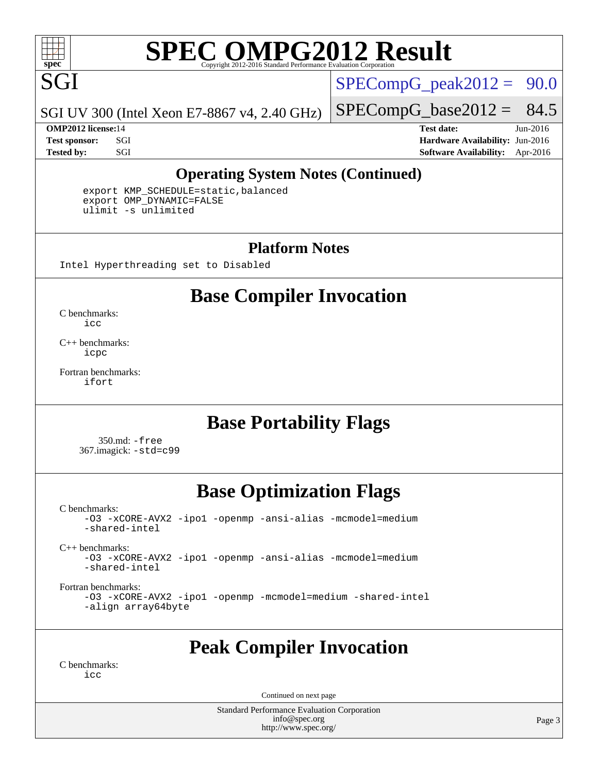

 $SPECompG_peak2012 = 90.0$  $SPECompG_peak2012 = 90.0$ 

SGI UV 300 (Intel Xeon E7-8867 v4, 2.40 GHz)

 $SPECompG_base2012 = 84.5$  $SPECompG_base2012 = 84.5$ 

**[OMP2012 license:](http://www.spec.org/auto/omp2012/Docs/result-fields.html#OMP2012license)**14 **[Test date:](http://www.spec.org/auto/omp2012/Docs/result-fields.html#Testdate)** Jun-2016 **[Test sponsor:](http://www.spec.org/auto/omp2012/Docs/result-fields.html#Testsponsor)** SGI **[Hardware Availability:](http://www.spec.org/auto/omp2012/Docs/result-fields.html#HardwareAvailability)** Jun-2016 **[Tested by:](http://www.spec.org/auto/omp2012/Docs/result-fields.html#Testedby)** SGI SOL SGI SOFTWARE AVAILABILITY: Apr-2016

#### **[Operating System Notes \(Continued\)](http://www.spec.org/auto/omp2012/Docs/result-fields.html#OperatingSystemNotes)**

 export KMP\_SCHEDULE=static,balanced export OMP\_DYNAMIC=FALSE ulimit -s unlimited

#### **[Platform Notes](http://www.spec.org/auto/omp2012/Docs/result-fields.html#PlatformNotes)**

Intel Hyperthreading set to Disabled

## **[Base Compiler Invocation](http://www.spec.org/auto/omp2012/Docs/result-fields.html#BaseCompilerInvocation)**

[C benchmarks](http://www.spec.org/auto/omp2012/Docs/result-fields.html#Cbenchmarks): [icc](http://www.spec.org/omp2012/results/res2016q3/omp2012-20160613-00077.flags.html#user_CCbase_intel_icc_a87c68a857bc5ec5362391a49d3a37a6)

[C++ benchmarks:](http://www.spec.org/auto/omp2012/Docs/result-fields.html#CXXbenchmarks) [icpc](http://www.spec.org/omp2012/results/res2016q3/omp2012-20160613-00077.flags.html#user_CXXbase_intel_icpc_2d899f8d163502b12eb4a60069f80c1c)

[Fortran benchmarks](http://www.spec.org/auto/omp2012/Docs/result-fields.html#Fortranbenchmarks): [ifort](http://www.spec.org/omp2012/results/res2016q3/omp2012-20160613-00077.flags.html#user_FCbase_intel_ifort_8a5e5e06b19a251bdeaf8fdab5d62f20)

### **[Base Portability Flags](http://www.spec.org/auto/omp2012/Docs/result-fields.html#BasePortabilityFlags)**

 350.md: [-free](http://www.spec.org/omp2012/results/res2016q3/omp2012-20160613-00077.flags.html#user_baseFPORTABILITY350_md_free) 367.imagick: [-std=c99](http://www.spec.org/omp2012/results/res2016q3/omp2012-20160613-00077.flags.html#user_baseCPORTABILITY367_imagick_std_2ec6533b6e06f1c4a6c9b78d9e9cde24)

## **[Base Optimization Flags](http://www.spec.org/auto/omp2012/Docs/result-fields.html#BaseOptimizationFlags)**

[C benchmarks](http://www.spec.org/auto/omp2012/Docs/result-fields.html#Cbenchmarks):

[-O3](http://www.spec.org/omp2012/results/res2016q3/omp2012-20160613-00077.flags.html#user_CCbase_f-O3) [-xCORE-AVX2](http://www.spec.org/omp2012/results/res2016q3/omp2012-20160613-00077.flags.html#user_CCbase_f-xCORE-AVX2) [-ipo1](http://www.spec.org/omp2012/results/res2016q3/omp2012-20160613-00077.flags.html#user_CCbase_f-ipo_116921c2575d566c213f1dd5e08493d2) [-openmp](http://www.spec.org/omp2012/results/res2016q3/omp2012-20160613-00077.flags.html#user_CCbase_f-openmp) [-ansi-alias](http://www.spec.org/omp2012/results/res2016q3/omp2012-20160613-00077.flags.html#user_CCbase_f-ansi-alias) [-mcmodel=medium](http://www.spec.org/omp2012/results/res2016q3/omp2012-20160613-00077.flags.html#user_CCbase_f-mcmodel_3a41622424bdd074c4f0f2d2f224c7e5) [-shared-intel](http://www.spec.org/omp2012/results/res2016q3/omp2012-20160613-00077.flags.html#user_CCbase_f-shared-intel) [C++ benchmarks:](http://www.spec.org/auto/omp2012/Docs/result-fields.html#CXXbenchmarks) [-O3](http://www.spec.org/omp2012/results/res2016q3/omp2012-20160613-00077.flags.html#user_CXXbase_f-O3) [-xCORE-AVX2](http://www.spec.org/omp2012/results/res2016q3/omp2012-20160613-00077.flags.html#user_CXXbase_f-xCORE-AVX2) [-ipo1](http://www.spec.org/omp2012/results/res2016q3/omp2012-20160613-00077.flags.html#user_CXXbase_f-ipo_116921c2575d566c213f1dd5e08493d2) [-openmp](http://www.spec.org/omp2012/results/res2016q3/omp2012-20160613-00077.flags.html#user_CXXbase_f-openmp) [-ansi-alias](http://www.spec.org/omp2012/results/res2016q3/omp2012-20160613-00077.flags.html#user_CXXbase_f-ansi-alias) [-mcmodel=medium](http://www.spec.org/omp2012/results/res2016q3/omp2012-20160613-00077.flags.html#user_CXXbase_f-mcmodel_3a41622424bdd074c4f0f2d2f224c7e5) [-shared-intel](http://www.spec.org/omp2012/results/res2016q3/omp2012-20160613-00077.flags.html#user_CXXbase_f-shared-intel) [Fortran benchmarks](http://www.spec.org/auto/omp2012/Docs/result-fields.html#Fortranbenchmarks):

[-O3](http://www.spec.org/omp2012/results/res2016q3/omp2012-20160613-00077.flags.html#user_FCbase_f-O3) [-xCORE-AVX2](http://www.spec.org/omp2012/results/res2016q3/omp2012-20160613-00077.flags.html#user_FCbase_f-xCORE-AVX2) [-ipo1](http://www.spec.org/omp2012/results/res2016q3/omp2012-20160613-00077.flags.html#user_FCbase_f-ipo_116921c2575d566c213f1dd5e08493d2) [-openmp](http://www.spec.org/omp2012/results/res2016q3/omp2012-20160613-00077.flags.html#user_FCbase_f-openmp) [-mcmodel=medium](http://www.spec.org/omp2012/results/res2016q3/omp2012-20160613-00077.flags.html#user_FCbase_f-mcmodel_3a41622424bdd074c4f0f2d2f224c7e5) [-shared-intel](http://www.spec.org/omp2012/results/res2016q3/omp2012-20160613-00077.flags.html#user_FCbase_f-shared-intel) [-align array64byte](http://www.spec.org/omp2012/results/res2016q3/omp2012-20160613-00077.flags.html#user_FCbase_f-align_c9377f996e966d652baaf753401d4725)

## **[Peak Compiler Invocation](http://www.spec.org/auto/omp2012/Docs/result-fields.html#PeakCompilerInvocation)**

[C benchmarks](http://www.spec.org/auto/omp2012/Docs/result-fields.html#Cbenchmarks): [icc](http://www.spec.org/omp2012/results/res2016q3/omp2012-20160613-00077.flags.html#user_CCpeak_intel_icc_a87c68a857bc5ec5362391a49d3a37a6)

Continued on next page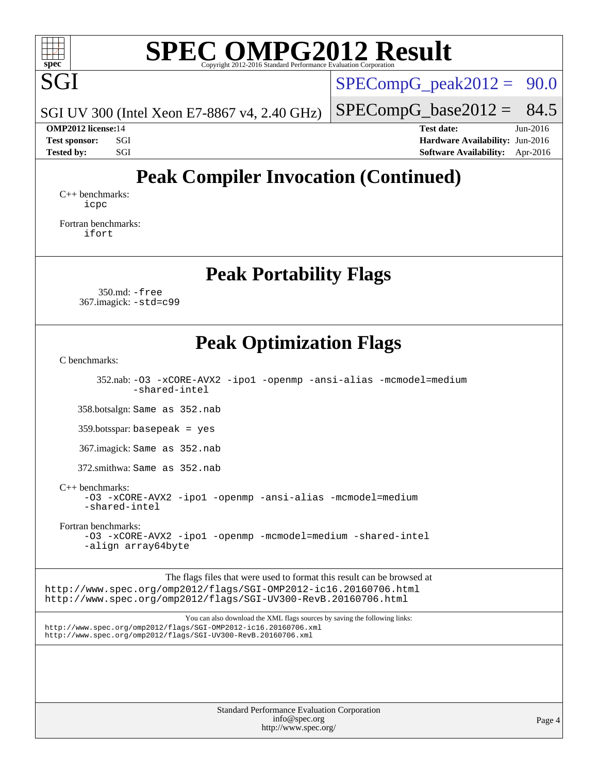

SGI UV 300 (Intel Xeon E7-8867 v4, 2.40 GHz)

 $SPECompG_peak2012 = 90.0$  $SPECompG_peak2012 = 90.0$ 

 $SPECompG_base2012 = 84.5$  $SPECompG_base2012 = 84.5$ 

**[OMP2012 license:](http://www.spec.org/auto/omp2012/Docs/result-fields.html#OMP2012license)**14 **[Test date:](http://www.spec.org/auto/omp2012/Docs/result-fields.html#Testdate)** Jun-2016 **[Test sponsor:](http://www.spec.org/auto/omp2012/Docs/result-fields.html#Testsponsor)** SGI **[Hardware Availability:](http://www.spec.org/auto/omp2012/Docs/result-fields.html#HardwareAvailability)** Jun-2016 **[Tested by:](http://www.spec.org/auto/omp2012/Docs/result-fields.html#Testedby)** SGI SOL SGI SOFTWARE AVAILABILITY: Apr-2016

## **[Peak Compiler Invocation \(Continued\)](http://www.spec.org/auto/omp2012/Docs/result-fields.html#PeakCompilerInvocation)**

[C++ benchmarks:](http://www.spec.org/auto/omp2012/Docs/result-fields.html#CXXbenchmarks) [icpc](http://www.spec.org/omp2012/results/res2016q3/omp2012-20160613-00077.flags.html#user_CXXpeak_intel_icpc_2d899f8d163502b12eb4a60069f80c1c)

[Fortran benchmarks](http://www.spec.org/auto/omp2012/Docs/result-fields.html#Fortranbenchmarks): [ifort](http://www.spec.org/omp2012/results/res2016q3/omp2012-20160613-00077.flags.html#user_FCpeak_intel_ifort_8a5e5e06b19a251bdeaf8fdab5d62f20)

**[Peak Portability Flags](http://www.spec.org/auto/omp2012/Docs/result-fields.html#PeakPortabilityFlags)**

 350.md: [-free](http://www.spec.org/omp2012/results/res2016q3/omp2012-20160613-00077.flags.html#user_peakFPORTABILITY350_md_free) 367.imagick: [-std=c99](http://www.spec.org/omp2012/results/res2016q3/omp2012-20160613-00077.flags.html#user_peakCPORTABILITY367_imagick_std_2ec6533b6e06f1c4a6c9b78d9e9cde24)

### **[Peak Optimization Flags](http://www.spec.org/auto/omp2012/Docs/result-fields.html#PeakOptimizationFlags)**

[C benchmarks](http://www.spec.org/auto/omp2012/Docs/result-fields.html#Cbenchmarks):

 352.nab: [-O3](http://www.spec.org/omp2012/results/res2016q3/omp2012-20160613-00077.flags.html#user_peakCOPTIMIZE352_nab_f-O3) [-xCORE-AVX2](http://www.spec.org/omp2012/results/res2016q3/omp2012-20160613-00077.flags.html#user_peakCOPTIMIZE352_nab_f-xCORE-AVX2) [-ipo1](http://www.spec.org/omp2012/results/res2016q3/omp2012-20160613-00077.flags.html#user_peakCOPTIMIZE352_nab_f-ipo_116921c2575d566c213f1dd5e08493d2) [-openmp](http://www.spec.org/omp2012/results/res2016q3/omp2012-20160613-00077.flags.html#user_peakCOPTIMIZE352_nab_f-openmp) [-ansi-alias](http://www.spec.org/omp2012/results/res2016q3/omp2012-20160613-00077.flags.html#user_peakCOPTIMIZE352_nab_f-ansi-alias) [-mcmodel=medium](http://www.spec.org/omp2012/results/res2016q3/omp2012-20160613-00077.flags.html#user_peakCOPTIMIZE352_nab_f-mcmodel_3a41622424bdd074c4f0f2d2f224c7e5) [-shared-intel](http://www.spec.org/omp2012/results/res2016q3/omp2012-20160613-00077.flags.html#user_peakCOPTIMIZE352_nab_f-shared-intel)

358.botsalgn: Same as 352.nab

359.botsspar: basepeak = yes

367.imagick: Same as 352.nab

372.smithwa: Same as 352.nab

[C++ benchmarks:](http://www.spec.org/auto/omp2012/Docs/result-fields.html#CXXbenchmarks)

[-O3](http://www.spec.org/omp2012/results/res2016q3/omp2012-20160613-00077.flags.html#user_CXXpeak_f-O3) [-xCORE-AVX2](http://www.spec.org/omp2012/results/res2016q3/omp2012-20160613-00077.flags.html#user_CXXpeak_f-xCORE-AVX2) [-ipo1](http://www.spec.org/omp2012/results/res2016q3/omp2012-20160613-00077.flags.html#user_CXXpeak_f-ipo_116921c2575d566c213f1dd5e08493d2) [-openmp](http://www.spec.org/omp2012/results/res2016q3/omp2012-20160613-00077.flags.html#user_CXXpeak_f-openmp) [-ansi-alias](http://www.spec.org/omp2012/results/res2016q3/omp2012-20160613-00077.flags.html#user_CXXpeak_f-ansi-alias) [-mcmodel=medium](http://www.spec.org/omp2012/results/res2016q3/omp2012-20160613-00077.flags.html#user_CXXpeak_f-mcmodel_3a41622424bdd074c4f0f2d2f224c7e5) [-shared-intel](http://www.spec.org/omp2012/results/res2016q3/omp2012-20160613-00077.flags.html#user_CXXpeak_f-shared-intel)

[Fortran benchmarks](http://www.spec.org/auto/omp2012/Docs/result-fields.html#Fortranbenchmarks):

[-O3](http://www.spec.org/omp2012/results/res2016q3/omp2012-20160613-00077.flags.html#user_FCpeak_f-O3) [-xCORE-AVX2](http://www.spec.org/omp2012/results/res2016q3/omp2012-20160613-00077.flags.html#user_FCpeak_f-xCORE-AVX2) [-ipo1](http://www.spec.org/omp2012/results/res2016q3/omp2012-20160613-00077.flags.html#user_FCpeak_f-ipo_116921c2575d566c213f1dd5e08493d2) [-openmp](http://www.spec.org/omp2012/results/res2016q3/omp2012-20160613-00077.flags.html#user_FCpeak_f-openmp) [-mcmodel=medium](http://www.spec.org/omp2012/results/res2016q3/omp2012-20160613-00077.flags.html#user_FCpeak_f-mcmodel_3a41622424bdd074c4f0f2d2f224c7e5) [-shared-intel](http://www.spec.org/omp2012/results/res2016q3/omp2012-20160613-00077.flags.html#user_FCpeak_f-shared-intel) [-align array64byte](http://www.spec.org/omp2012/results/res2016q3/omp2012-20160613-00077.flags.html#user_FCpeak_f-align_c9377f996e966d652baaf753401d4725)

The flags files that were used to format this result can be browsed at <http://www.spec.org/omp2012/flags/SGI-OMP2012-ic16.20160706.html> <http://www.spec.org/omp2012/flags/SGI-UV300-RevB.20160706.html>

You can also download the XML flags sources by saving the following links: <http://www.spec.org/omp2012/flags/SGI-OMP2012-ic16.20160706.xml> <http://www.spec.org/omp2012/flags/SGI-UV300-RevB.20160706.xml>